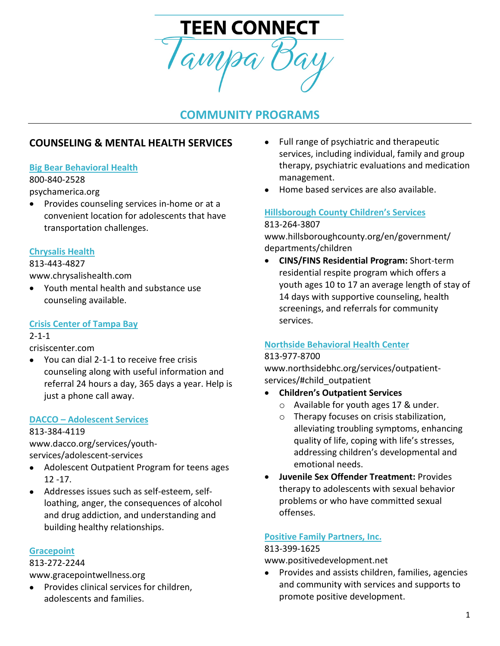

# **COMMUNITY PROGRAMS**

# **COUNSELING & MENTAL HEALTH SERVICES**

#### **[Big Bear Behavioral Health](https://psychamerica.org/)**

800-840-2528 psychamerica.org

• Provides counseling services in-home or at a convenient location for adolescents that have transportation challenges.

#### **[Chrysalis Health](http://www.chrysalishealth.com/)**

813-443-4827

www.chrysalishealth.com

• Youth mental health and substance use counseling available.

#### **[Crisis Center of Tampa Bay](https://www.crisiscenter.com/)**

#### 2-1-1

crisiscenter.com

• You can dial 2-1-1 to receive free crisis counseling along with useful information and referral 24 hours a day, 365 days a year. Help is just a phone call away.

#### **DACCO – [Adolescent Services](http://www.dacco.org/PROGRAMS/OutpatientPrograms/AdolescentSpecialtyProgram.aspx)**

813-384-4119

www.dacco.org/services/youthservices/adolescent-services

- Adolescent Outpatient Program for teens ages 12 -17.
- Addresses issues such as self-esteem, selfloathing, anger, the consequences of alcohol and drug addiction, and understanding and building healthy relationships.

#### **[Gracepoint](http://www.gracepointwellness.org/)**

813-272-2244

www.gracepointwellness.org

• Provides clinical services for children, adolescents and families.

- Full range of psychiatric and therapeutic services, including individual, family and group therapy, psychiatric evaluations and medication management.
- Home based services are also available.

#### **[Hillsborough County Children's Services](https://www.hillsboroughcounty.org/en/government/departments/children)** 813-264-3807

www.hillsboroughcounty.org/en/government/ departments/children

• **CINS/FINS Residential Program:** Short-term residential respite program which offers a youth ages 10 to 17 an average length of stay of 14 days with supportive counseling, health screenings, and referrals for community services.

#### **[Northside Behavioral](http://www.northsidebhc.org/services/outpatient-services/#child_outpatient) Health Center**

#### 813-977-8700

www.northsidebhc.org/services/outpatientservices/#child\_outpatient

- **Children's Outpatient Services**
	- o Available for youth ages 17 & under.
	- o Therapy focuses on crisis stabilization, alleviating troubling symptoms, enhancing quality of life, coping with life's stresses, addressing children's developmental and emotional needs.
- **Juvenile Sex Offender Treatment:** Provides therapy to adolescents with sexual behavior problems or who have committed sexual offenses.

#### **[Positive Family Partners, Inc.](http://www.positivedevelopment.net/)**

#### 813-399-1625

www.positivedevelopment.net

• Provides and assists children, families, agencies and community with services and supports to promote positive development.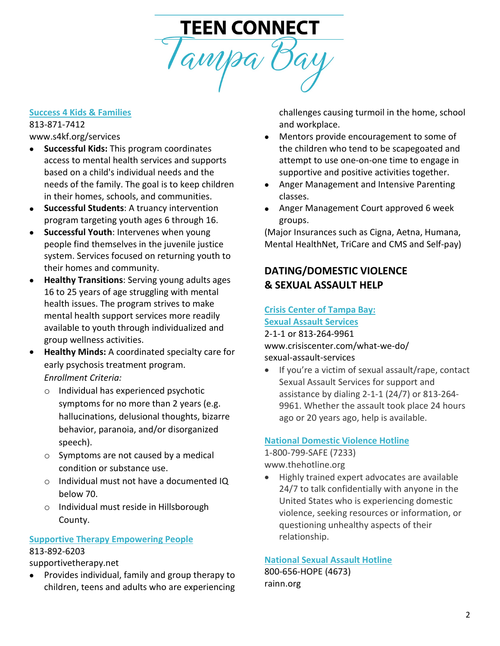# TEEN CONNECT<br>Tampa Bay

#### **[Success 4 Kids & Families](http://www.s4kf.org/services/)**

813-871-7412 www.s4kf.org/services

- **Successful Kids:** This program coordinates access to mental health services and supports based on a child's individual needs and the needs of the family. The goal is to keep children in their homes, schools, and communities.
- **Successful Students**: A truancy intervention program targeting youth ages 6 through 16.
- **Successful Youth**: Intervenes when young people find themselves in the juvenile justice system. Services focused on returning youth to their homes and community.
- **Healthy Transitions**: Serving young adults ages 16 to 25 years of age struggling with mental health issues. The program strives to make mental health support services more readily available to youth through individualized and group wellness activities.
- **Healthy Minds:** A coordinated specialty care for early psychosis treatment program. *Enrollment Criteria:*
	- o Individual has experienced psychotic symptoms for no more than 2 years (e.g. hallucinations, delusional thoughts, bizarre behavior, paranoia, and/or disorganized speech).
	- o Symptoms are not caused by a medical condition or substance use.
	- o Individual must not have a documented IQ below 70.
	- o Individual must reside in Hillsborough County.

# **[Supportive Therapy Empowering People](http://www.supportivetherapy.net/)**

#### 813-892-6203

supportivetherapy.net

• Provides individual, family and group therapy to children, teens and adults who are experiencing

challenges causing turmoil in the home, school and workplace.

- Mentors provide encouragement to some of the children who tend to be scapegoated and attempt to use one-on-one time to engage in supportive and positive activities together.
- Anger Management and Intensive Parenting classes.
- Anger Management Court approved 6 week groups.

(Major Insurances such as Cigna, Aetna, Humana, Mental HealthNet, TriCare and CMS and Self-pay)

# **DATING/DOMESTIC VIOLENCE & SEXUAL ASSAULT HELP**

# **[Crisis Center of Tampa Bay:](http://www.crisiscenter.com/what-we-do/sexual-assault-services)**

**[Sexual Assault Services](http://www.crisiscenter.com/what-we-do/sexual-assault-services)** 2-1-1 or 813-264-9961

www.crisiscenter.com/what-we-do/ sexual-assault-services

• If you're a victim of sexual assault/rape, contact Sexual Assault Services for support and assistance by dialing 2-1-1 (24/7) or 813-264- 9961. Whether the assault took place 24 hours ago or 20 years ago, help is available.

## **[National Domestic Violence Hotline](http://www.thehotline.org/)**

1-800-799-SAFE (7233) www.thehotline.org

• Highly trained expert advocates are available 24/7 to talk confidentially with anyone in the United States who is experiencing domestic violence, seeking resources or information, or questioning unhealthy aspects of their relationship.

#### **[National Sexual Assault Hotline](https://www.rainn.org/)**

800-656-HOPE (4673) rainn.org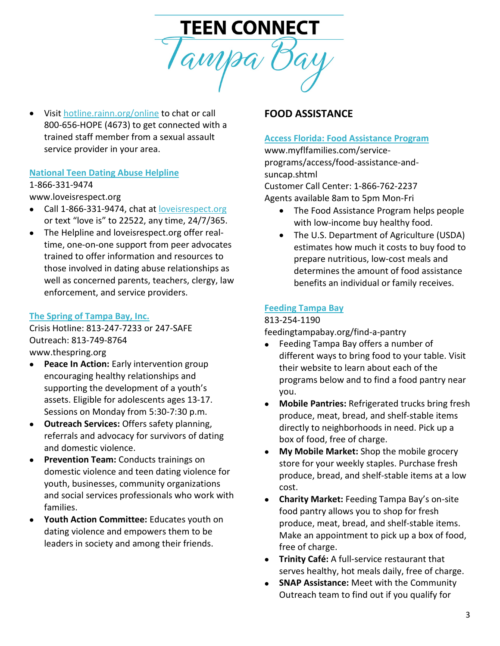

• Visi[t hotline.rainn.org/online](https://hotline.rainn.org/online) to chat or call 800-656-HOPE (4673) to get connected with a trained staff member from a sexual assault service provider in your area.

#### **[National Teen Dating Abuse Helpline](http://www.loveisrespect.org/)**

#### 1-866-331-9474

www.loveisrespect.org

- Call 1-866-331-9474, chat at [loveisrespect.org](https://www.loveisrespect.org/) or text "love is" to 22522, any time, 24/7/365.
- The Helpline and loveisrespect.org offer realtime, one-on-one support from peer advocates trained to offer information and resources to those involved in dating abuse relationships as well as concerned parents, teachers, clergy, law enforcement, and service providers.

#### **[The Spring of Tampa Bay, Inc.](http://www.thespring.org/)**

Crisis Hotline: 813-247-7233 or 247-SAFE Outreach: 813-749-8764 [www.thespring.org](http://www.thespring.org/)

• **Peace In Action:** Early intervention group encouraging healthy relationships and supporting the development of a youth's assets. Eligible for adolescents ages 13-17. Sessions on Monday from 5:30-7:30 p.m.

- **Outreach Services:** Offers safety planning, referrals and advocacy for survivors of dating and domestic violence.
- **Prevention Team:** Conducts trainings on domestic violence and teen dating violence for youth, businesses, community organizations and social services professionals who work with families.
- **Youth Action Committee:** Educates youth on dating violence and empowers them to be leaders in society and among their friends.

#### **FOOD ASSISTANCE**

#### **[Access Florida:](http://www.myflfamilies.com/service-programs/access) Food Assistance Program**

www.myflfamilies.com/serviceprograms/access/food-assistance-andsuncap.shtml

Customer Call Center: 1-866-762-2237 Agents available 8am to 5pm Mon-Fri

- The Food Assistance Program helps people with low-income buy healthy food.
- The U.S. Department of Agriculture (USDA) estimates how much it costs to buy food to prepare nutritious, low-cost meals and determines the amount of food assistance benefits an individual or family receives.

#### **[Feeding Tampa Bay](http://feedingtampabay.org/find-a-pantry/)**

#### 813-254-1190

feedingtampabay.org/find-a-pantry

- Feeding Tampa Bay offers a number of different ways to bring food to your table. Visit their website to learn about each of the programs below and to find a food pantry near you.
- **Mobile Pantries:** Refrigerated trucks bring fresh produce, meat, bread, and shelf-stable items directly to neighborhoods in need. Pick up a box of food, free of charge.
- **My Mobile Market:** Shop the mobile grocery store for your weekly staples. Purchase fresh produce, bread, and shelf-stable items at a low cost.
- **Charity Market:** Feeding Tampa Bay's on-site food pantry allows you to shop for fresh produce, meat, bread, and shelf-stable items. Make an appointment to pick up a box of food, free of charge.
- **Trinity Café:** A full-service restaurant that serves healthy, hot meals daily, free of charge.
- **SNAP Assistance:** Meet with the Community Outreach team to find out if you qualify for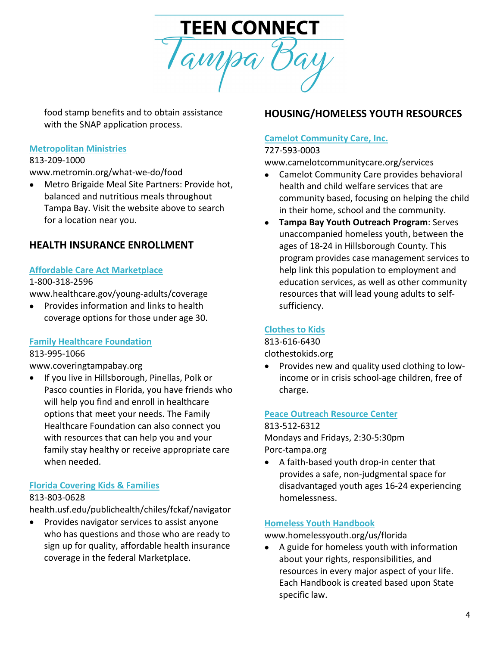

food stamp benefits and to obtain assistance with the SNAP application process.

#### **[Metropolitan Ministries](https://www.metromin.org/what-we-do/food/)**

#### 813-209-1000

www.metromin.org/what-we-do/food

• Metro Brigaide Meal Site Partners: Provide hot, balanced and nutritious meals throughout Tampa Bay. Visit the website above to search for a location near you.

# **HEALTH INSURANCE ENROLLMENT**

#### **Affordable Care [Act Marketplace](https://www.healthcare.gov/young-adults/coverage/)**

#### 1-800-318-2596

www.healthcare.gov/young-adults/coverage

• Provides information and links to health coverage options for those under age 30.

#### **[Family Healthcare Foundation](http://familyhealthcarefdn.org/)**

#### 813-995-1066

www.coveringtampabay.org

• If you live in Hillsborough, Pinellas, Polk or Pasco counties in Florida, you have friends who will help you find and enroll in healthcare options that meet your needs. The Family Healthcare Foundation can also connect you with resources that can help you and your family stay healthy or receive appropriate care when needed.

#### **[Florida Covering Kids & Families](https://health.usf.edu/publichealth/chiles/fckaf/navigator)**

#### 813-803-0628

health.usf.edu/publichealth/chiles/fckaf/navigator

• Provides navigator services to assist anyone who has questions and those who are ready to sign up for quality, affordable health insurance coverage in the federal Marketplace.

# **HOUSING/HOMELESS YOUTH RESOURCES**

#### **[Camelot Community Care, Inc.](http://www.camelotcommunitycare.org/services)**

#### 727-593-0003

www.camelotcommunitycare.org/services

- Camelot Community Care provides behavioral health and child welfare services that are community based, focusing on helping the child in their home, school and the community.
- **Tampa Bay Youth Outreach Program**: Serves unaccompanied homeless youth, between the ages of 18-24 in Hillsborough County. This program provides case management services to help link this population to employment and education services, as well as other community resources that will lead young adults to selfsufficiency.

#### **[Clothes to Kids](file://HSc-FS01/User%20Folders/dlewald/Resource%20Directory/clothestokids.org)**

813-616-6430 clothestokids.org

• Provides new and quality used clothing to lowincome or in crisis school-age children, free of charge.

#### **[Peace Outreach Resource Center](https://porc-tampa.org/)**

#### 813-512-6312

Mondays and Fridays, 2:30-5:30pm Porc-tampa.org

• A faith-based youth drop-in center that provides a safe, non-judgmental space for disadvantaged youth ages 16-24 experiencing homelessness.

#### **[Homeless Youth Handbook](https://www.homelessyouth.org/us/florida)**

www.homelessyouth.org/us/florida

• A guide for homeless youth with information about your rights, responsibilities, and resources in every major aspect of your life. Each Handbook is created based upon State specific law.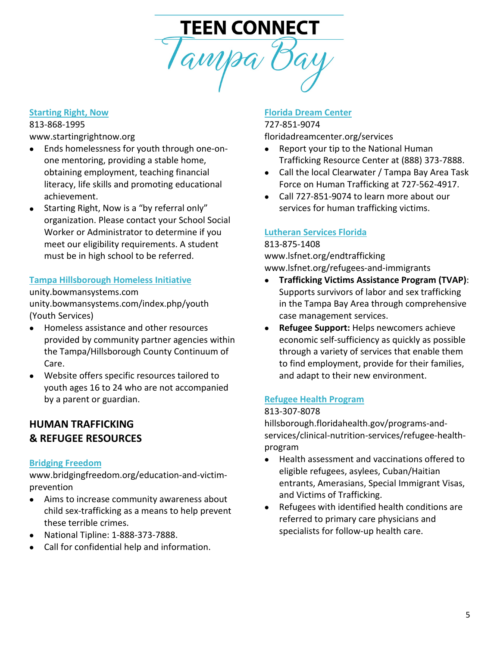# TEEN CONNECT<br>Tampa Bay

#### **[Starting Right, Now](http://www.startingrightnow.org/)**

813-868-1995

www.startingrightnow.org

- Ends homelessness for youth through one-onone mentoring, providing a stable home, obtaining employment, teaching financial literacy, life skills and promoting educational achievement.
- Starting Right, Now is a "by referral only" organization. Please contact your School Social Worker or Administrator to determine if you meet our eligibility requirements. A student must be in high school to be referred.

#### **[Tampa Hillsborough Homeless Initiative](http://unity.bowmansystems.com/index.php)**

unity.bowmansystems.com unity.bowmansystems.com/index.php/youth (Youth Services)

- Homeless assistance and other resources provided by community partner agencies within the Tampa/Hillsborough County Continuum of Care.
- Website offers specific resources tailored to youth ages 16 to 24 who are not accompanied by a parent or guardian.

# **HUMAN TRAFFICKING & REFUGEE RESOURCES**

#### **[Bridging Freedom](https://www.bridgingfreedom.org/education-and-victim-prevention/)**

www.bridgingfreedom.org/education-and-victimprevention

- Aims to increase community awareness about child sex-trafficking as a means to help prevent these terrible crimes.
- National Tipline: 1-888-373-7888.
- Call for confidential help and information.

#### **[Florida Dream Center](http://floridadreamcenter.org/services)**

#### 727-851-9074 floridadreamcenter.org/services

- Report your tip to the National Human Trafficking Resource Center at (888) 373-7888.
- Call the local Clearwater / Tampa Bay Area Task Force on Human Trafficking at 727-562-4917.
- Call 727-851-9074 to learn more about our services for human trafficking victims.

#### **[Lutheran Services Florida](https://www.lsfnet.org/)**

#### 813-875-1408

www.lsfnet.org/endtrafficking www.lsfnet.org/refugees-and-immigrants

- **Trafficking Victims Assistance Program (TVAP)**: Supports survivors of labor and sex trafficking in the Tampa Bay Area through comprehensive case management services.
- **Refugee Support:** Helps newcomers achieve economic self-sufficiency as quickly as possible through a variety of services that enable them to find employment, provide for their families, and adapt to their new environment.

#### **[Refugee Health Program](http://hillsborough.floridahealth.gov/programs-and-services/clinical-nutrition-services/refugee-health-program/index.html)**

#### 813-307-8078

hillsborough.floridahealth.gov/programs-andservices/clinical-nutrition-services/refugee-healthprogram

- Health assessment and vaccinations offered to eligible refugees, asylees, Cuban/Haitian entrants, Amerasians, Special Immigrant Visas, and Victims of Trafficking.
- Refugees with identified health conditions are referred to primary care physicians and specialists for follow-up health care.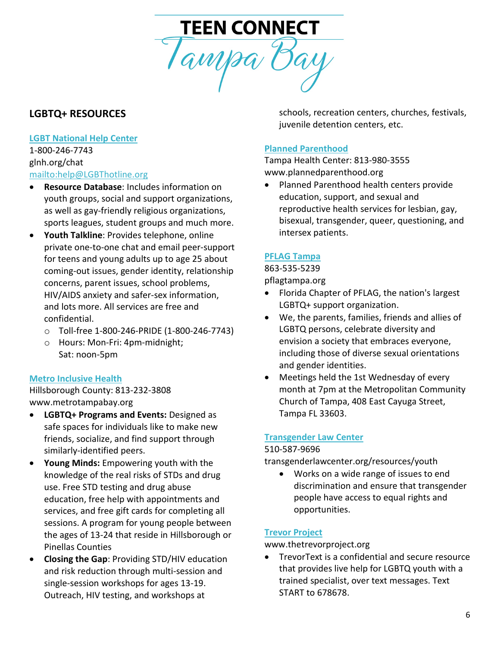

# **LGBTQ+ RESOURCES**

# **[LGBT National Help Center](file://HSc-FS01/User%20Folders/dlewald/Resource%20Directory/glnh.org/chat)**

1-800-246-7743 glnh.org/chat <mailto:help@LGBThotline.org>

- **Resource Database**: Includes information on youth groups, social and support organizations, as well as gay-friendly religious organizations, sports leagues, student groups and much more.
- **Youth Talkline**: Provides telephone, online private one-to-one chat and email peer-support for teens and young adults up to age 25 about coming-out issues, gender identity, relationship concerns, parent issues, school problems, HIV/AIDS anxiety and safer-sex information, and lots more. All services are free and confidential.
	- o Toll-free 1-800-246-PRIDE (1-800-246-7743)
	- o Hours: Mon-Fri: 4pm-midnight; Sat: noon-5pm

#### **[Metro Inclusive Health](http://www.metrotampabay.org/)**

Hillsborough County: 813-232-3808 www.metrotampabay.org

- **LGBTQ+ Programs and Events:** Designed as safe spaces for individuals like to make new friends, socialize, and find support through similarly-identified peers.
- **Young Minds:** Empowering youth with the knowledge of the real risks of STDs and drug use. Free STD testing and drug abuse education, free help with appointments and services, and free gift cards for completing all sessions. A program for young people between the ages of 13-24 that reside in Hillsborough or Pinellas Counties
- **Closing the Gap**: Providing STD/HIV education and risk reduction through multi-session and single-session workshops for ages 13-19. Outreach, HIV testing, and workshops at

schools, recreation centers, churches, festivals, juvenile detention centers, etc.

#### **[Planned Parenthood](http://www.plannedparenthood.org/)**

Tampa Health Center: 813-980-3555 www.plannedparenthood.org

• Planned Parenthood health centers provide education, support, and sexual and reproductive health services for lesbian, gay, bisexual, transgender, queer, questioning, and intersex patients.

#### **[PFLAG Tampa](file://HSc-FS01/User%20Folders/dlewald/Resource%20Directory/pflagtampa.org)**

863-535-5239

pflagtampa.org

- Florida Chapter of PFLAG, the nation's largest LGBTQ+ support organization.
- We, the parents, families, friends and allies of LGBTQ persons, celebrate diversity and envision a society that embraces everyone, including those of diverse sexual orientations and gender identities.
- Meetings held the 1st Wednesday of every month at 7pm at the Metropolitan Community Church of Tampa, 408 East Cayuga Street, Tampa FL 33603.

#### **[Transgender Law Center](https://transgenderlawcenter.org/resources/youth)**

#### 510-587-9696

transgenderlawcenter.org/resources/youth

• Works on a wide range of issues to end discrimination and ensure that transgender people have access to equal rights and opportunities.

#### **Trevor [Project](http://www.thetrevorproject.org/)**

www.thetrevorproject.org

• TrevorText is a confidential and secure resource that provides live help for LGBTQ youth with a trained specialist, over text messages. Text START to 678678.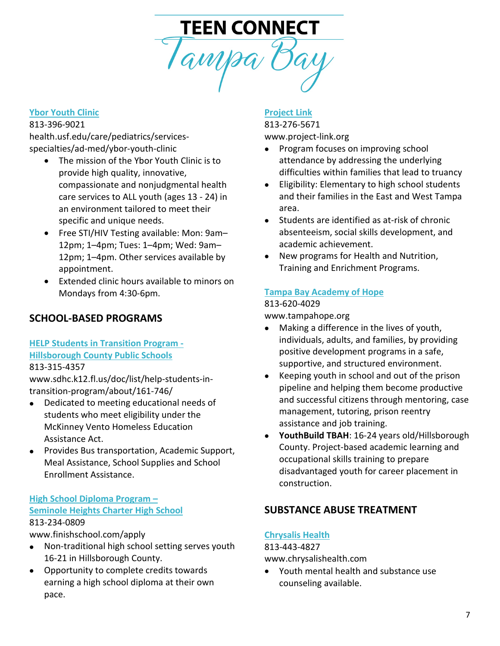# TEEN CONNECT<br>Tampa Bay

#### **[Ybor Youth Clinic](https://health.usf.edu/care/pediatrics/services-specialties/ad-med/ybor-youth-clinic)**

#### 813-396-9021

health.usf.edu/care/pediatrics/servicesspecialties/ad-med/ybor-youth-clinic

- The mission of the Ybor Youth Clinic is to provide high quality, innovative, compassionate and nonjudgmental health care services to ALL youth (ages 13 - 24) in an environment tailored to meet their specific and unique needs.
- Free STI/HIV Testing available: Mon: 9am– 12pm; 1–4pm; Tues: 1–4pm; Wed: 9am– 12pm; 1–4pm. Other services available by appointment.
- Extended clinic hours available to minors on Mondays from 4:30-6pm.

#### **SCHOOL-BASED PROGRAMS**

**[HELP Students in Transition Program -](http://www.sdhc.k12.fl.us/doc/list/help-students-in-transition-program/about/161-746/) [Hillsborough County Public Schools](http://www.sdhc.k12.fl.us/doc/list/help-students-in-transition-program/about/161-746/)**

#### 813-315-4357

www.sdhc.k12.fl.us/doc/list/help-students-intransition-program/about/161-746/

- Dedicated to meeting educational needs of students who meet eligibility under the McKinney Vento Homeless Education Assistance Act.
- Provides Bus transportation, Academic Support, Meal Assistance, School Supplies and School Enrollment Assistance.

#### **[High School Diploma Program –](http://www.finishschool.com/apply) [Seminole Heights Charter High School](http://www.finishschool.com/apply)** 813-234-0809

www.finishschool.com/apply

- Non-traditional high school setting serves youth 16-21 in Hillsborough County.
- Opportunity to complete credits towards earning a high school diploma at their own pace.

#### **[Project Link](http://www.project-link.org/)**

#### 813-276-5671 www.project-link.org

- Program focuses on improving school attendance by addressing the underlying difficulties within families that lead to truancy
- Eligibility: Elementary to high school students and their families in the East and West Tampa area.
- Students are identified as at-risk of chronic absenteeism, social skills development, and academic achievement.
- New programs for Health and Nutrition, Training and Enrichment Programs.

#### **[Tampa Bay Academy of Hope](http://www.tampahope.org/)**

#### 813-620-4029

www.tampahope.org

- Making a difference in the lives of youth, individuals, adults, and families, by providing positive development programs in a safe, supportive, and structured environment.
- Keeping youth in school and out of the prison pipeline and helping them become productive and successful citizens through mentoring, case management, tutoring, prison reentry assistance and job training.
- **YouthBuild TBAH**: 16-24 years old/Hillsborough County. Project-based academic learning and occupational skills training to prepare disadvantaged youth for career placement in construction.

## **SUBSTANCE ABUSE TREATMENT**

#### **[Chrysalis Health](http://www.chrysalishealth.com/)**

#### 813-443-4827

www.chrysalishealth.com

• Youth mental health and substance use counseling available.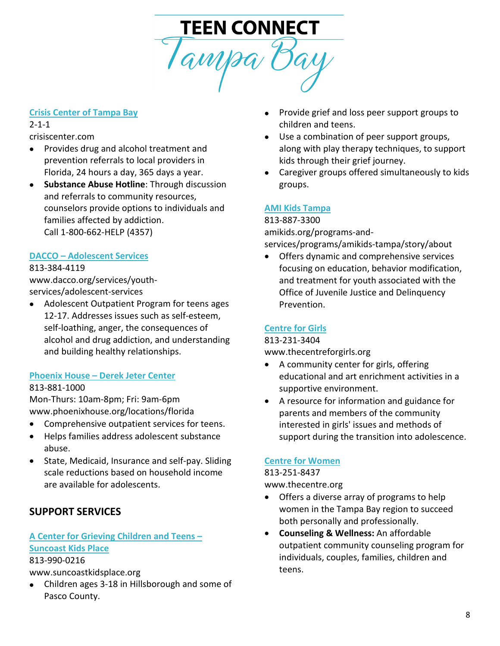# TEEN CONNECT Tampa Bay

#### **[Crisis Center of Tampa Bay](https://www.crisiscenter.com/)**

# 2-1-1

crisiscenter.com

- Provides drug and alcohol treatment and prevention referrals to local providers in Florida, 24 hours a day, 365 days a year.
- **Substance Abuse Hotline**: Through discussion and referrals to community resources, counselors provide options to individuals and families affected by addiction. Call 1-800-662-HELP (4357)

# **DACCO – [Adolescent Services](http://www.dacco.org/PROGRAMS/OutpatientPrograms/AdolescentSpecialtyProgram.aspx)**

#### 813-384-4119

www.dacco.org/services/youthservices/adolescent-services

• Adolescent Outpatient Program for teens ages 12-17. Addresses issues such as self-esteem, self-loathing, anger, the consequences of alcohol and drug addiction, and understanding and building healthy relationships.

# **Phoenix House – [Derek Jeter Center](http://www.phoenixhouse.org/locations/florida)**

#### 813-881-1000

Mon-Thurs: 10am-8pm; Fri: 9am-6pm www.phoenixhouse.org/locations/florida

- Comprehensive outpatient services for teens.
- Helps families address adolescent substance abuse.
- State, Medicaid, Insurance and self-pay. Sliding scale reductions based on household income are available for adolescents.

# **SUPPORT SERVICES**

# **[A Center for Grieving Children and Teens –](http://www.suncoastkidsplace.org/)**

#### **[Suncoast Kids Place](http://www.suncoastkidsplace.org/)**

813-990-0216

www.suncoastkidsplace.org

• Children ages 3-18 in Hillsborough and some of Pasco County.

- Provide grief and loss peer support groups to children and teens.
- Use a combination of peer support groups, along with play therapy techniques, to support kids through their grief journey.
- Caregiver groups offered simultaneously to kids groups.

# **[AMI Kids Tampa](file://HSc-FS01/User%20Folders/dlewald/Resource%20Directory/amikids.org/programs-and-services/programs/amikids-tampa/story/about)**

813-887-3300 [amikids.org/programs-and](http://amikids.org/programs-and-services/programs/amikids-tampa/story/about)[services/programs/amikids-tampa/story/about](http://amikids.org/programs-and-services/programs/amikids-tampa/story/about)

• Offers dynamic and comprehensive services focusing on education, behavior modification, and treatment for youth associated with the Office of Juvenile Justice and Delinquency Prevention.

## **[Centre for Girls](https://www.thecentreforgirls.org/)**

#### 813-231-3404

www.thecentreforgirls.org

- A community center for girls, offering educational and art enrichment activities in a supportive environment.
- A resource for information and guidance for parents and members of the community interested in girls' issues and methods of support during the transition into adolescence.

# **[Centre for Women](http://www.thecentre.org/)**

#### 813-251-8437 www.thecentre.org

- Offers a diverse array of programs to help women in the Tampa Bay region to succeed both personally and professionally.
- **Counseling & Wellness:** An affordable outpatient community counseling program for individuals, couples, families, children and teens.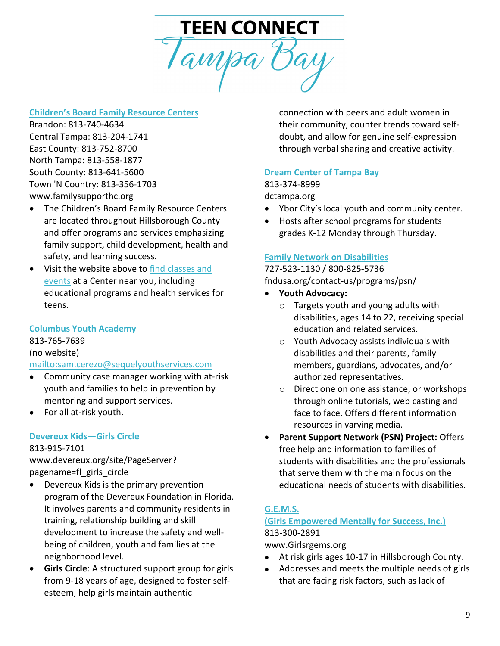

#### **[Children's Board Family Resource Centers](https://www.familysupporthc.org/)**

Brandon: 813-740-4634 Central Tampa: 813-204-1741 East County: 813-752-8700 North Tampa: 813-558-1877 South County: 813-641-5600 Town 'N Country: 813-356-1703 www.familysupporthc.org

- The Children's Board Family Resource Centers are located throughout Hillsborough County and offer programs and services emphasizing family support, child development, health and safety, and learning success.
- Visit the website above to [find classes and](https://www.familysupporthc.org/classes-events)  [events](https://www.familysupporthc.org/classes-events) at a Center near you, including educational programs and health services for teens.

#### **Columbus Youth Academy**

813-765-7639 (no website) <mailto:sam.cerezo@sequelyouthservices.com>

- Community case manager working with at-risk youth and families to help in prevention by mentoring and support services.
- For all at-risk youth.

#### **[Devereux Kids—Girls Circle](http://www.devereux.org/site/PageServer?pagename=fl_girls_circle)**

813-915-7101

www.devereux.org/site/PageServer? pagename=fl\_girls\_circle

- Devereux Kids is the primary prevention program of the Devereux Foundation in Florida. It involves parents and community residents in training, relationship building and skill development to increase the safety and wellbeing of children, youth and families at the neighborhood level.
- **Girls Circle**: A structured support group for girls from 9-18 years of age, designed to foster selfesteem, help girls maintain authentic

connection with peers and adult women in their community, counter trends toward selfdoubt, and allow for genuine self-expression through verbal sharing and creative activity.

#### **[Dream Center of Tampa Bay](file://HSc-FS01/User%20Folders/dlewald/Resource%20Directory/dctampa.org)**

#### 813-374-8999

dctampa.org

- Ybor City's local youth and community center.
- Hosts after school programs for students grades K-12 Monday through Thursday.

#### **[Family Network on Disabilities](file://HSc-FS01/User%20Folders/dlewald/Resource%20Directory/fndusa.org/contact-us/programs/psn/)**

727-523-1130 / 800-825-5736 [fndusa.org/contact-us/programs/psn/](https://fndusa.org/contact-us/programs/psn/)

- **Youth Advocacy:**
	- o Targets youth and young adults with disabilities, ages 14 to 22, receiving special education and related services.
	- o Youth Advocacy assists individuals with disabilities and their parents, family members, guardians, advocates, and/or authorized representatives.
	- o Direct one on one assistance, or workshops through online tutorials, web casting and face to face. Offers different information resources in varying media.
- **Parent Support Network (PSN) Project:** Offers free help and information to families of students with disabilities and the professionals that serve them with the main focus on the educational needs of students with disabilities.

#### **[G.E.M.S.](http://www.girlsrgems.org/)**

#### **[\(Girls Empowered Mentally for Success, Inc.\)](http://www.girlsrgems.org/)** 813-300-2891

www.Girlsrgems.org

- At risk girls ages 10-17 in Hillsborough County.
- Addresses and meets the multiple needs of girls that are facing risk factors, such as lack of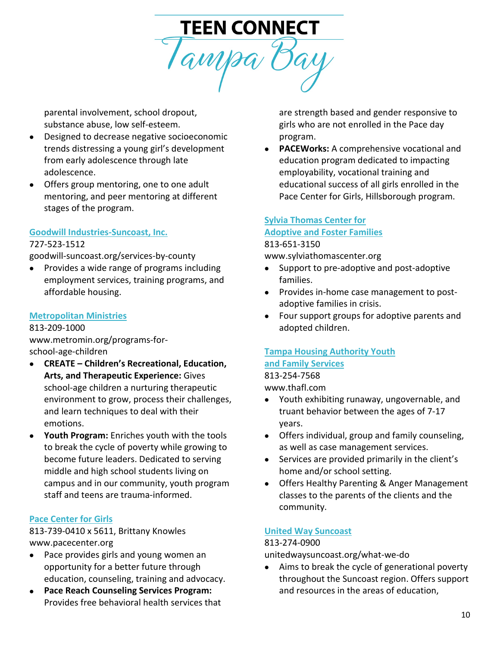

parental involvement, school dropout, substance abuse, low self-esteem.

- Designed to decrease negative socioeconomic trends distressing a young girl's development from early adolescence through late adolescence.
- Offers group mentoring, one to one adult mentoring, and peer mentoring at different stages of the program.

# **[Goodwill Industries-Suncoast, Inc.](file://HSc-FS01/User%20Folders/dlewald/Resource%20Directory/goodwill-suncoast.org/services-by-county)**

#### 727-523-1512

goodwill-suncoast.org/services-by-county

• Provides a wide range of programs including employment services, training programs, and affordable housing.

#### **[Metropolitan Ministries](http://www.metromin.org/programs-for-school-age-children)**

813-209-1000 www.metromin.org/programs-forschool-age-children

- **CREATE – Children's Recreational, Education, Arts, and Therapeutic Experience:** Gives school-age children a nurturing therapeutic environment to grow, process their challenges, and learn techniques to deal with their emotions.
- **Youth Program:** Enriches youth with the tools to break the cycle of poverty while growing to become future leaders. Dedicated to serving middle and high school students living on campus and in our community, youth program staff and teens are trauma-informed.

#### **[Pace Center for Girls](http://www.pacecenter.org/)**

813-739-0410 x 5611, Brittany Knowles www.pacecenter.org

- Pace provides girls and young women an opportunity for a better future through education, counseling, training and advocacy.
- **Pace Reach Counseling Services Program:** Provides free behavioral health services that

are strength based and gender responsive to girls who are not enrolled in the Pace day program.

• **PACEWorks:** A comprehensive vocational and education program dedicated to impacting employability, vocational training and educational success of all girls enrolled in the Pace Center for Girls, Hillsborough program.

#### **[Sylvia Thomas Center for](http://www.sylviathomascenter.org/) [Adoptive and Foster Families](http://www.sylviathomascenter.org/)** 813-651-3150

www.sylviathomascenter.org

- Support to pre-adoptive and post-adoptive families.
- Provides in-home case management to postadoptive families in crisis.
- Four support groups for adoptive parents and adopted children.

#### **[Tampa Housing Authority Youth](http://www.thafl.com/) [and Family Services](http://www.thafl.com/)**

813-254-7568

www.thafl.com

- Youth exhibiting runaway, ungovernable, and truant behavior between the ages of 7-17 years.
- Offers individual, group and family counseling, as well as case management services.
- Services are provided primarily in the client's home and/or school setting.
- Offers Healthy Parenting & Anger Management classes to the parents of the clients and the community.

#### **[United Way Suncoast](https://unitedwaysuncoast.org/what-we-do/)**

#### 813-274-0900

unitedwaysuncoast.org/what-we-do

• Aims to break the cycle of generational poverty throughout the Suncoast region. Offers support and resources in the areas of education,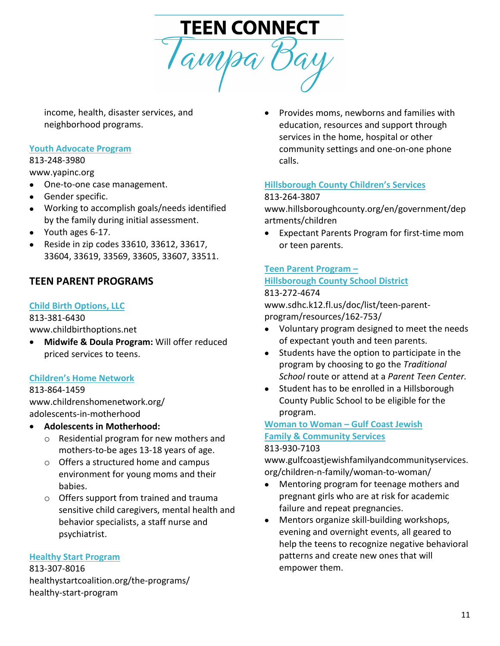

income, health, disaster services, and neighborhood programs.

#### **[Youth Advocate Program](http://www.yapinc.org/)**

# 813-248-3980

www.yapinc.org

- One-to-one case management.
- Gender specific.
- Working to accomplish goals/needs identified by the family during initial assessment.
- Youth ages 6-17.
- Reside in zip codes 33610, 33612, 33617, 33604, 33619, 33569, 33605, 33607, 33511.

# **TEEN PARENT PROGRAMS**

#### **[Child Birth Options, LLC](http://www.childbirthoptions.net/)**

813-381-6430

www.childbirthoptions.net

• **Midwife & Doula Program:** Will offer reduced priced services to teens.

#### **[Children's Home Network](http://www.childrenshomenetwork.org/adolescents-in-motherhood)**

813-864-1459 www.childrenshomenetwork.org/ adolescents-in-motherhood

#### • **Adolescents in Motherhood:**

- o Residential program for new mothers and mothers-to-be ages 13-18 years of age.
- o Offers a structured home and campus environment for young moms and their babies.
- o Offers support from trained and trauma sensitive child caregivers, mental health and behavior specialists, a staff nurse and psychiatrist.

#### **[Healthy Start Program](http://healthystartcoalition.org/the-programs/healthy-start-program/)**

813-307-8016 healthystartcoalition.org/the-programs/ healthy-start-program

• Provides moms, newborns and families with education, resources and support through services in the home, hospital or other community settings and one-on-one phone calls.

#### **[Hillsborough County Children's Services](http://www.hillsboroughcounty.org/en/government/departments/children)**

#### 813-264-3807

www.hillsboroughcounty.org/en/government/dep artments/children

• Expectant Parents Program for first-time mom or teen parents.

## **[Teen Parent Program –](http://www.sdhc.k12.fl.us/doc/list/teen-parent-program/resources/162-753/)**

# **[Hillsborough County School District](http://www.sdhc.k12.fl.us/doc/list/teen-parent-program/resources/162-753/)**

#### 813-272-4674

www.sdhc.k12.fl.us/doc/list/teen-parentprogram/resources/162-753/

- Voluntary program designed to meet the needs of expectant youth and teen parents.
- Students have the option to participate in the program by choosing to go the *Traditional School* route or attend at a *Parent Teen Center.*
- Student has to be enrolled in a Hillsborough County Public School to be eligible for the program.

# **[Woman to Woman –](http://www.gulfcoastjewishfamilyandcommunityservices.org/children-n-family/woman-to-woman/) Gulf Coast Jewish**

#### **[Family & Community Services](http://www.gulfcoastjewishfamilyandcommunityservices.org/children-n-family/woman-to-woman/)**

#### 813-930-7103

www.gulfcoastjewishfamilyandcommunityservices. org/children-n-family/woman-to-woman/

- Mentoring program for teenage mothers and pregnant girls who are at risk for academic failure and repeat pregnancies.
- Mentors organize skill-building workshops, evening and overnight events, all geared to help the teens to recognize negative behavioral patterns and create new ones that will empower them.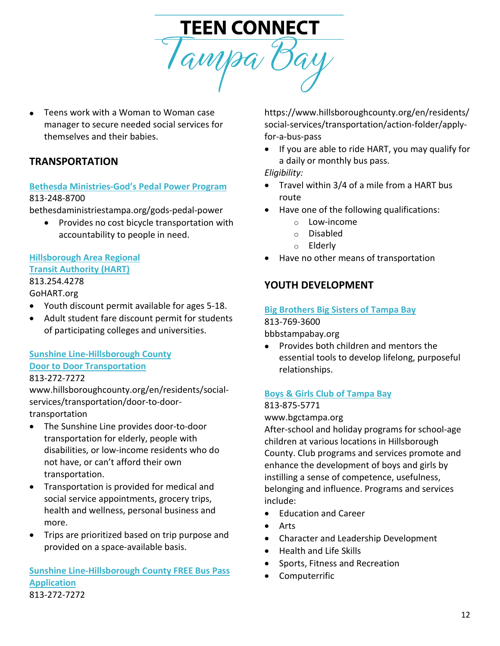

• Teens work with a Woman to Woman case manager to secure needed social services for themselves and their babies.

# **TRANSPORTATION**

#### **[Bethesda Ministries-God's Pedal Power Program](http://bethesdaministriestampa.org/gods-pedal-power/)** 813-248-8700

bethesdaministriestampa.org/gods-pedal-power

• Provides no cost bicycle transportation with accountability to people in need.

#### **[Hillsborough Area Regional](http://gohart.org/) [Transit Authority \(HART\)](http://gohart.org/)**

# 813.254.4278

#### GoHART.org

- Youth discount permit available for ages 5-18.
- Adult student fare discount permit for students of participating colleges and universities.

#### **[Sunshine Line-Hillsborough County](https://www.hillsboroughcounty.org/en/residents/social-services/transportation/door-to-door-transportation) [Door to Door Transportation](https://www.hillsboroughcounty.org/en/residents/social-services/transportation/door-to-door-transportation)** 813-272-7272

# www.hillsboroughcounty.org/en/residents/social-

services/transportation/door-to-doortransportation

- The Sunshine Line provides door-to-door transportation for elderly, people with disabilities, or low-income residents who do not have, or can't afford their own transportation.
- Transportation is provided for medical and social service appointments, grocery trips, health and wellness, personal business and more.
- Trips are prioritized based on trip purpose and provided on a space-available basis.

#### **[Sunshine Line-Hillsborough County FREE Bus Pass](https://www.hillsboroughcounty.org/en/residents/social-services/transportation/action-folder/apply-for-a-bus-pass)  [Application](https://www.hillsboroughcounty.org/en/residents/social-services/transportation/action-folder/apply-for-a-bus-pass)** 813-272-7272

https://www.hillsboroughcounty.org/en/residents/ social-services/transportation/action-folder/applyfor-a-bus-pass

• If you are able to ride HART, you may qualify for a daily or monthly bus pass.

*Eligibility:*

- Travel within 3/4 of a mile from a HART bus route
- Have one of the following qualifications:
	- o Low-income
	- o Disabled
	- o Elderly
- Have no other means of transportation

# **YOUTH DEVELOPMENT**

#### **[Big Brothers Big Sisters of Tampa Bay](file://HSc-FS01/User%20Folders/dlewald/Resource%20Directory/bbbstampabay.org)**

#### 813-769-3600

bbbstampabay.org

• Provides both children and mentors the essential tools to develop lifelong, purposeful relationships.

#### **[Boys & Girls Club of Tampa Bay](https://www.bgctampa.org/)**

#### 813-875-5771

www.bgctampa.org

After-school and holiday programs for school-age children at various locations in Hillsborough County. Club programs and services promote and enhance the development of boys and girls by instilling a sense of competence, usefulness, belonging and influence. Programs and services include:

- Education and Career
- **Arts**
- Character and Leadership Development
- Health and Life Skills
- Sports, Fitness and Recreation
- Computerrific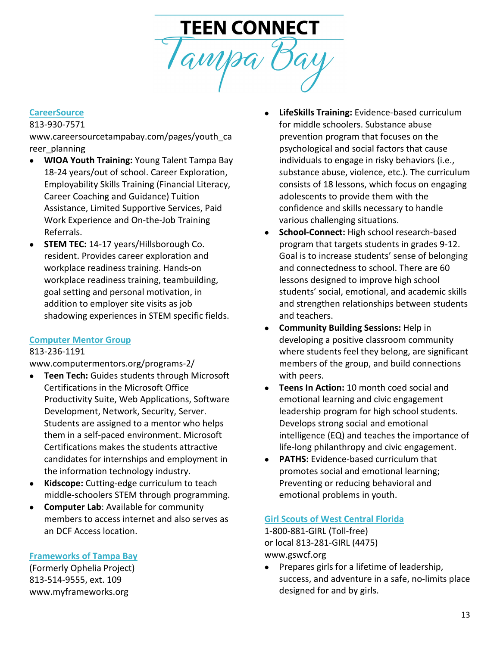

# **[CareerSource](http://www.careersourcetampabay.com/pages/youth_career_planning)**

813-930-7571

[www.careersourcetampabay.com/pages/youth\\_ca](http://www.careersourcetampabay.com/pages/youth_career_planning) [reer\\_planning](http://www.careersourcetampabay.com/pages/youth_career_planning)

- **WIOA Youth Training:** Young Talent Tampa Bay 18-24 years/out of school. Career Exploration, Employability Skills Training (Financial Literacy, Career Coaching and Guidance) Tuition Assistance, Limited Supportive Services, Paid Work Experience and On-the-Job Training Referrals.
- **STEM TEC:** 14-17 years/Hillsborough Co. resident. Provides career exploration and workplace readiness training. Hands-on workplace readiness training, teambuilding, goal setting and personal motivation, in addition to employer site visits as job shadowing experiences in STEM specific fields.

#### **[Computer Mentor Group](http://www.computermentors.org/programs-2/)**

#### 813-236-1191

www.computermentors.org/programs-2/

- **Teen Tech:** Guides students through Microsoft Certifications in the Microsoft Office Productivity Suite, Web Applications, Software Development, Network, Security, Server. Students are assigned to a mentor who helps them in a self-paced environment. Microsoft Certifications makes the students attractive candidates for internships and employment in the information technology industry.
- **Kidscope:** Cutting-edge curriculum to teach middle-schoolers STEM through programming.
- **Computer Lab**: Available for community members to access internet and also serves as an DCF Access location.

#### **[Frameworks of Tampa Bay](http://www.myframeworks.org/)**

(Formerly Ophelia Project) 813-514-9555, ext. 109 www.myframeworks.org

- **LifeSkills Training:** Evidence-based curriculum for middle schoolers. Substance abuse prevention program that focuses on the psychological and social factors that cause individuals to engage in risky behaviors (i.e., substance abuse, violence, etc.). The curriculum consists of 18 lessons, which focus on engaging adolescents to provide them with the confidence and skills necessary to handle various challenging situations.
- **School-Connect:** High school research-based program that targets students in grades 9-12. Goal is to increase students' sense of belonging and connectedness to school. There are 60 lessons designed to improve high school students' social, emotional, and academic skills and strengthen relationships between students and teachers.
- **Community Building Sessions:** Help in developing a positive classroom community where students feel they belong, are significant members of the group, and build connections with peers.
- **Teens In Action:** 10 month coed social and emotional learning and civic engagement leadership program for high school students. Develops strong social and emotional intelligence (EQ) and teaches the importance of life-long philanthropy and civic engagement.
- **PATHS:** Evidence-based curriculum that promotes social and emotional learning; Preventing or reducing behavioral and emotional problems in youth.

#### **[Girl Scouts of West Central Florida](https://www.gswcf.org/)**

1-800-881-GIRL (Toll-free) or local 813-281-GIRL (4475) www.gswcf.org

• Prepares girls for a lifetime of leadership, success, and adventure in a safe, no-limits place designed for and by girls.